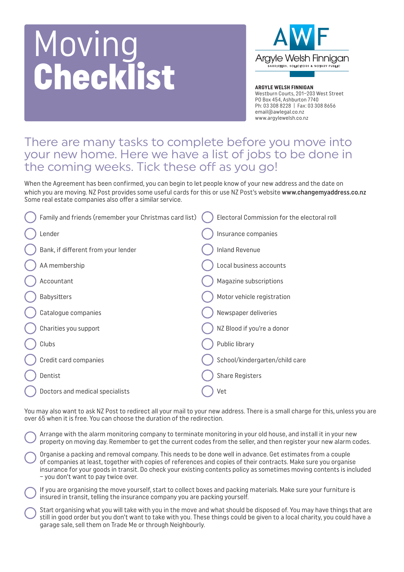## Moving **Checklist**



**ARGYLE WELSH FINNIGAN** Westburn Courts, 201–203 West Street PO Box 454, Ashburton 7740 Ph: 03 308 8228 | Fax: 03 308 8656 email@awlegal.co.nz www.argylewelsh.co.nz

## There are many tasks to complete before you move into your new home. Here we have a list of jobs to be done in the coming weeks. Tick these off as you go!

When the Agreement has been confirmed, you can begin to let people know of your new address and the date on which you are moving. NZ Post provides some useful cards for this or use NZ Post's website www.changemyaddress.co.nz Some real estate companies also offer a similar service.

| Family and friends (remember your Christmas card list) | Electoral Commission for the electoral roll |
|--------------------------------------------------------|---------------------------------------------|
| Lender                                                 | Insurance companies                         |
| Bank, if different from your lender                    | <b>Inland Revenue</b>                       |
| AA membership                                          | Local business accounts                     |
| Accountant                                             | Magazine subscriptions                      |
| <b>Babysitters</b>                                     | Motor vehicle registration                  |
| Catalogue companies                                    | Newspaper deliveries                        |
| Charities you support                                  | NZ Blood if you're a donor                  |
| Clubs                                                  | Public library                              |
| Credit card companies                                  | School/kindergarten/child care              |
| Dentist                                                | <b>Share Registers</b>                      |
| Doctors and medical specialists                        | Vet                                         |
|                                                        |                                             |

You may also want to ask NZ Post to redirect all your mail to your new address. There is a small charge for this, unless you are over 65 when it is free. You can choose the duration of the redirection.

Arrange with the alarm monitoring company to terminate monitoring in your old house, and install it in your new property on moving day. Remember to get the current codes from the seller, and then register your new alarm codes.

Organise a packing and removal company. This needs to be done well in advance. Get estimates from a couple of companies at least, together with copies of references and copies of their contracts. Make sure you organise insurance for your goods in transit. Do check your existing contents policy as sometimes moving contents is included – you don't want to pay twice over.

If you are organising the move yourself, start to collect boxes and packing materials. Make sure your furniture is insured in transit, telling the insurance company you are packing yourself.

Start organising what you will take with you in the move and what should be disposed of. You may have things that are still in good order but you don't want to take with you. These things could be given to a local charity, you could have a garage sale, sell them on Trade Me or through Neighbourly.